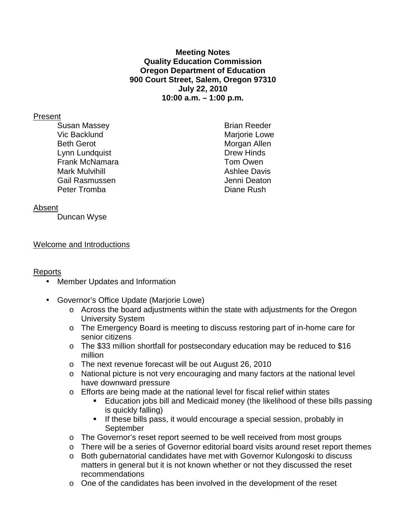### **Meeting Notes Quality Education Commission Oregon Department of Education 900 Court Street, Salem, Oregon 97310 July 22, 2010 10:00 a.m. – 1:00 p.m.**

### Present

Susan Massey **Brian Reeder** Vic Backlund Marjorie Lowe Beth Gerot **Morgan** Allen Lynn Lundquist **Drew Hinds** Frank McNamara Tom Owen Mark Mulvihill **Mark Mulvihill** Ashlee Davis Gail Rasmussen Jenni Deaton Peter Tromba Diane Rush

## Absent

Duncan Wyse

## Welcome and Introductions

# Reports

- Member Updates and Information
- Governor's Office Update (Marjorie Lowe)
	- o Across the board adjustments within the state with adjustments for the Oregon University System
	- o The Emergency Board is meeting to discuss restoring part of in-home care for senior citizens
	- o The \$33 million shortfall for postsecondary education may be reduced to \$16 million
	- o The next revenue forecast will be out August 26, 2010
	- o National picture is not very encouraging and many factors at the national level have downward pressure
	- o Efforts are being made at the national level for fiscal relief within states
		- Education jobs bill and Medicaid money (the likelihood of these bills passing is quickly falling)
		- **If these bills pass, it would encourage a special session, probably in September**
	- o The Governor's reset report seemed to be well received from most groups
	- o There will be a series of Governor editorial board visits around reset report themes
	- o Both gubernatorial candidates have met with Governor Kulongoski to discuss matters in general but it is not known whether or not they discussed the reset recommendations
	- $\circ$  One of the candidates has been involved in the development of the reset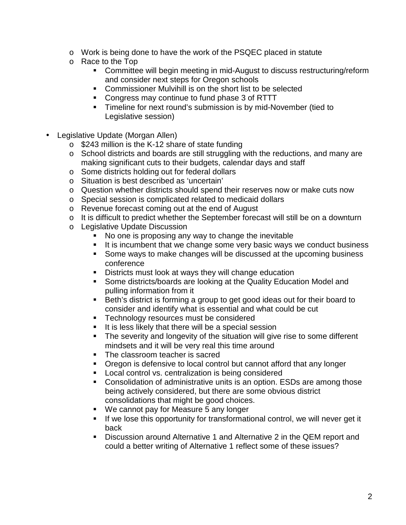- o Work is being done to have the work of the PSQEC placed in statute
- o Race to the Top
	- **EXEDENT** Committee will begin meeting in mid-August to discuss restructuring/reform and consider next steps for Oregon schools
	- **Commissioner Mulvihill is on the short list to be selected**
	- Congress may continue to fund phase 3 of RTTT
	- **Timeline for next round's submission is by mid-November (tied to** Legislative session)
- Legislative Update (Morgan Allen)
	- $\circ$  \$243 million is the K-12 share of state funding
	- o School districts and boards are still struggling with the reductions, and many are making significant cuts to their budgets, calendar days and staff
	- o Some districts holding out for federal dollars
	- o Situation is best described as 'uncertain'
	- o Question whether districts should spend their reserves now or make cuts now
	- o Special session is complicated related to medicaid dollars
	- o Revenue forecast coming out at the end of August
	- o It is difficult to predict whether the September forecast will still be on a downturn
	- o Legislative Update Discussion
		- No one is proposing any way to change the inevitable
		- It is incumbent that we change some very basic ways we conduct business
		- Some ways to make changes will be discussed at the upcoming business conference
		- **Districts must look at ways they will change education**
		- **Some districts/boards are looking at the Quality Education Model and** pulling information from it
		- Beth's district is forming a group to get good ideas out for their board to consider and identify what is essential and what could be cut
		- **Technology resources must be considered**
		- If is less likely that there will be a special session
		- The severity and longevity of the situation will give rise to some different mindsets and it will be very real this time around
		- The classroom teacher is sacred
		- Oregon is defensive to local control but cannot afford that any longer
		- **Local control vs. centralization is being considered**
		- Consolidation of administrative units is an option. ESDs are among those being actively considered, but there are some obvious district consolidations that might be good choices.
		- We cannot pay for Measure 5 any longer
		- **If we lose this opportunity for transformational control, we will never get it** back
		- **Discussion around Alternative 1 and Alternative 2 in the QEM report and** could a better writing of Alternative 1 reflect some of these issues?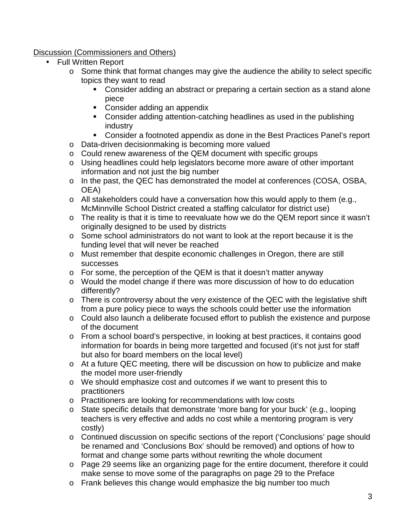# Discussion (Commissioners and Others)

- Full Written Report
	- o Some think that format changes may give the audience the ability to select specific topics they want to read
		- Consider adding an abstract or preparing a certain section as a stand alone piece
		- Consider adding an appendix
		- Consider adding attention-catching headlines as used in the publishing industry
		- Consider a footnoted appendix as done in the Best Practices Panel's report
	- o Data-driven decisionmaking is becoming more valued
	- o Could renew awareness of the QEM document with specific groups
	- o Using headlines could help legislators become more aware of other important information and not just the big number
	- o In the past, the QEC has demonstrated the model at conferences (COSA, OSBA, OEA)
	- o All stakeholders could have a conversation how this would apply to them (e.g., McMinnville School District created a staffing calculator for district use)
	- o The reality is that it is time to reevaluate how we do the QEM report since it wasn't originally designed to be used by districts
	- o Some school administrators do not want to look at the report because it is the funding level that will never be reached
	- o Must remember that despite economic challenges in Oregon, there are still successes
	- o For some, the perception of the QEM is that it doesn't matter anyway
	- o Would the model change if there was more discussion of how to do education differently?
	- o There is controversy about the very existence of the QEC with the legislative shift from a pure policy piece to ways the schools could better use the information
	- o Could also launch a deliberate focused effort to publish the existence and purpose of the document
	- o From a school board's perspective, in looking at best practices, it contains good information for boards in being more targetted and focused (it's not just for staff but also for board members on the local level)
	- o At a future QEC meeting, there will be discussion on how to publicize and make the model more user-friendly
	- o We should emphasize cost and outcomes if we want to present this to practitioners
	- o Practitioners are looking for recommendations with low costs
	- o State specific details that demonstrate 'more bang for your buck' (e.g., looping teachers is very effective and adds no cost while a mentoring program is very costly)
	- o Continued discussion on specific sections of the report ('Conclusions' page should be renamed and 'Conclusions Box' should be removed) and options of how to format and change some parts without rewriting the whole document
	- o Page 29 seems like an organizing page for the entire document, therefore it could make sense to move some of the paragraphs on page 29 to the Preface
	- o Frank believes this change would emphasize the big number too much